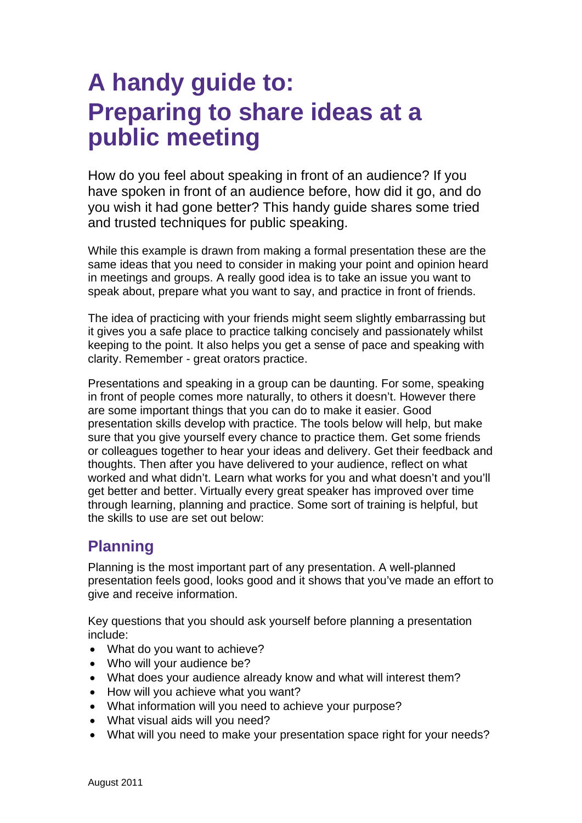## **A handy guide to: Preparing to share ideas at a public meeting**

How do you feel about speaking in front of an audience? If you have spoken in front of an audience before, how did it go, and do you wish it had gone better? This handy guide shares some tried and trusted techniques for public speaking.

While this example is drawn from making a formal presentation these are the same ideas that you need to consider in making your point and opinion heard in meetings and groups. A really good idea is to take an issue you want to speak about, prepare what you want to say, and practice in front of friends.

The idea of practicing with your friends might seem slightly embarrassing but it gives you a safe place to practice talking concisely and passionately whilst keeping to the point. It also helps you get a sense of pace and speaking with clarity. Remember - great orators practice.

Presentations and speaking in a group can be daunting. For some, speaking in front of people comes more naturally, to others it doesn't. However there are some important things that you can do to make it easier. Good presentation skills develop with practice. The tools below will help, but make sure that you give yourself every chance to practice them. Get some friends or colleagues together to hear your ideas and delivery. Get their feedback and thoughts. Then after you have delivered to your audience, reflect on what worked and what didn't. Learn what works for you and what doesn't and you'll get better and better. Virtually every great speaker has improved over time through learning, planning and practice. Some sort of training is helpful, but the skills to use are set out below:

## **Planning**

Planning is the most important part of any presentation. A well-planned presentation feels good, looks good and it shows that you've made an effort to give and receive information.

Key questions that you should ask yourself before planning a presentation include:

- What do you want to achieve?
- Who will your audience be?
- What does your audience already know and what will interest them?
- How will you achieve what you want?
- What information will you need to achieve your purpose?
- What visual aids will you need?
- What will you need to make your presentation space right for your needs?